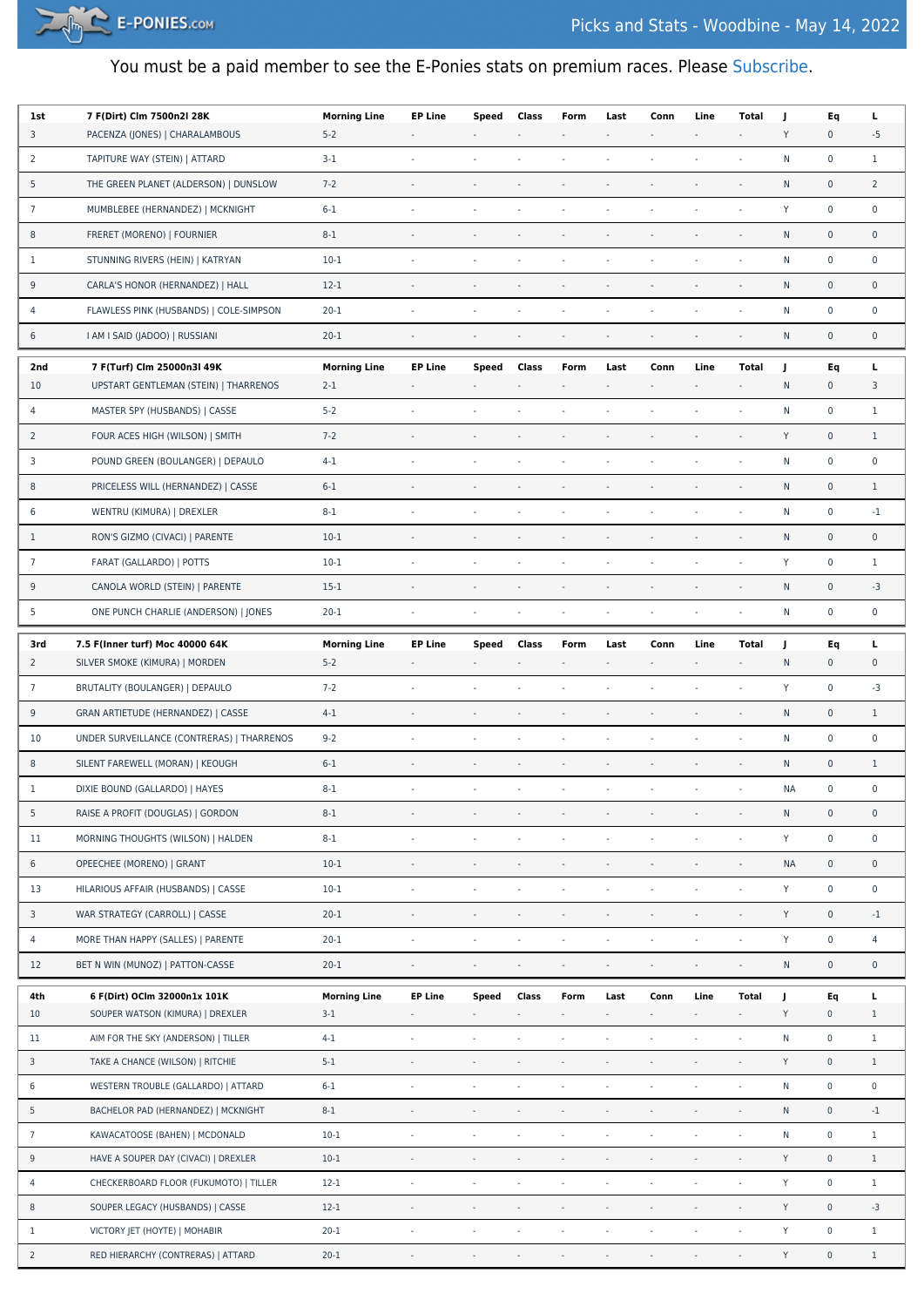

## You must be a paid member to see the E-Ponies stats on premium races. Please [Subscribe.](https://e-ponies.com/registration-and-subscription/)

| 1st             | 7 F(Dirt) Clm 7500n2l 28K                  | <b>Morning Line</b> | <b>EP Line</b>           | Speed                    | Class                    | Form                     | Last                     | Conn                     | Line                     | <b>Total</b>             | J            | Eq                  | L                   |
|-----------------|--------------------------------------------|---------------------|--------------------------|--------------------------|--------------------------|--------------------------|--------------------------|--------------------------|--------------------------|--------------------------|--------------|---------------------|---------------------|
| 3               | PACENZA (JONES)   CHARALAMBOUS             | $5 - 2$             | $\sim$                   |                          |                          |                          | $\overline{a}$           |                          | $\blacksquare$           | $\overline{\phantom{a}}$ | Y            | $\mathbf 0$         | $-5$                |
| $\overline{2}$  | TAPITURE WAY (STEIN)   ATTARD              | $3-1$               | $\sim$                   | $\sim$                   | $\sim$                   | $\sim$                   | ä,                       | ÷,                       | ä,                       | ÷,                       | N            | $\pmb{0}$           | $\mathbf{1}$        |
| 5               | THE GREEN PLANET (ALDERSON)   DUNSLOW      | $7 - 2$             |                          | $\sim$                   | $\overline{\phantom{a}}$ |                          | ł,                       |                          | ÷,                       | ÷,                       | ${\sf N}$    | $\pmb{0}$           | $\overline{2}$      |
| $\overline{7}$  | MUMBLEBEE (HERNANDEZ)   MCKNIGHT           | $6 - 1$             | $\overline{\phantom{a}}$ | $\sim$                   | $\overline{\phantom{a}}$ | $\overline{\phantom{a}}$ | ÷,                       | ÷,                       | ä,                       | ÷,                       | Y            | $\pmb{0}$           | $\mathbf 0$         |
| 8               | FRERET (MORENO)   FOURNIER                 | $8 - 1$             |                          |                          |                          |                          |                          |                          |                          | ÷,                       | ${\sf N}$    | $\mathsf{O}\xspace$ | $\mathbf 0$         |
| $\mathbf{1}$    | STUNNING RIVERS (HEIN)   KATRYAN           | $10-1$              | $\sim$                   | $\sim$                   | $\sim$                   | $\sim$                   | $\bar{a}$                | ÷,                       | ÷,                       | $\overline{\phantom{a}}$ | ${\sf N}$    | $\pmb{0}$           | $\mathbf 0$         |
| 9               | CARLA'S HONOR (HERNANDEZ)   HALL           | $12 - 1$            | $\overline{\phantom{a}}$ |                          | $\overline{\phantom{a}}$ | $\sim$                   |                          |                          |                          | ÷,                       | N            | $\pmb{0}$           | $\mathsf{O}\xspace$ |
| 4               | FLAWLESS PINK (HUSBANDS)   COLE-SIMPSON    | $20 - 1$            |                          |                          |                          |                          |                          |                          |                          |                          | N            | $\pmb{0}$           | $\mathbf 0$         |
| 6               | I AM I SAID (JADOO)   RUSSIANI             | $20 - 1$            | $\overline{\phantom{a}}$ | $\overline{\phantom{a}}$ |                          | $\overline{\phantom{a}}$ | $\overline{\phantom{a}}$ |                          | ÷,                       | $\blacksquare$           | ${\sf N}$    | $\pmb{0}$           | $\mathbf 0$         |
| 2nd             | 7 F(Turf) Clm 25000n3l 49K                 | <b>Morning Line</b> | <b>EP Line</b>           | Speed                    | Class                    | Form                     | Last                     | Conn                     | Line                     | Total                    | J            | Eq                  | L                   |
| 10              | UPSTART GENTLEMAN (STEIN)   THARRENOS      | $2 - 1$             | $\overline{\phantom{a}}$ |                          |                          | $\overline{\phantom{a}}$ | $\overline{\phantom{a}}$ | $\overline{\phantom{a}}$ | $\overline{\phantom{a}}$ | $\overline{\phantom{a}}$ | ${\sf N}$    | $\mathbf 0$         | 3                   |
| 4               | MASTER SPY (HUSBANDS)   CASSE              | $5 - 2$             | $\sim$                   | $\sim$                   | $\sim$                   | $\sim$                   | $\bar{a}$                | $\overline{\phantom{a}}$ | ä,                       | ÷,                       | N            | $\pmb{0}$           | $\mathbf{1}$        |
| $\overline{2}$  | FOUR ACES HIGH (WILSON)   SMITH            | $7 - 2$             | $\sim$                   | $\overline{\phantom{a}}$ | $\overline{\phantom{a}}$ |                          | ÷,                       |                          | i,                       | ä,                       | Y            | $\pmb{0}$           | $\mathbf{1}$        |
| 3               | POUND GREEN (BOULANGER)   DEPAULO          | $4 - 1$             |                          | $\overline{\phantom{a}}$ | $\overline{\phantom{a}}$ | $\overline{\phantom{a}}$ | ä,                       | ä,                       | ä,                       | ÷,                       | N            | $\pmb{0}$           | $\mathbf 0$         |
| 8               | PRICELESS WILL (HERNANDEZ)   CASSE         | $6 - 1$             |                          |                          |                          |                          |                          |                          |                          | $\overline{\phantom{a}}$ | ${\sf N}$    | $\mathsf{O}\xspace$ | $\mathbf{1}$        |
| 6               | WENTRU (KIMURA)   DREXLER                  | $8 - 1$             | $\sim$                   | $\overline{\phantom{a}}$ |                          |                          | ÷,                       | $\overline{\phantom{a}}$ | ÷,                       | $\overline{\phantom{a}}$ | $\mathsf{N}$ | $\pmb{0}$           | $-1$                |
| $\mathbf{1}$    | RON'S GIZMO (CIVACI)   PARENTE             | $10-1$              | $\sim$                   | $\overline{\phantom{a}}$ | $\overline{\phantom{a}}$ | $\sim$                   | ÷,                       | ÷,                       | ä,                       | $\sim$                   | ${\sf N}$    | $\pmb{0}$           | $\mathbf 0$         |
| $\overline{7}$  | FARAT (GALLARDO)   POTTS                   | $10-1$              |                          |                          |                          |                          |                          |                          |                          |                          | Y            | $\pmb{0}$           | $\mathbf{1}$        |
| 9               | CANOLA WORLD (STEIN)   PARENTE             | $15-1$              | $\sim$                   | $\sim$                   |                          | $\overline{\phantom{a}}$ | $\bar{a}$                |                          | ÷,                       | $\blacksquare$           | N            | $\mathsf{O}\xspace$ | $-3$                |
| 5               | ONE PUNCH CHARLIE (ANDERSON)   JONES       | $20 - 1$            | $\overline{\phantom{a}}$ | $\overline{\phantom{a}}$ | $\blacksquare$           | $\overline{\phantom{a}}$ | ä,                       | ÷,                       | ÷,                       | ÷,                       | ${\sf N}$    | $\pmb{0}$           | $\mathbf 0$         |
| 3rd             | 7.5 F(Inner turf) Moc 40000 64K            | <b>Morning Line</b> | <b>EP Line</b>           | Speed                    | Class                    | Form                     | Last                     | Conn                     | Line                     | Total                    | J            | Eq                  | г                   |
| $\overline{2}$  | SILVER SMOKE (KIMURA)   MORDEN             | $5 - 2$             |                          |                          |                          |                          |                          |                          |                          | $\overline{\phantom{a}}$ | $\mathsf{N}$ | $\mathbf 0$         | $\mathbf 0$         |
| $\overline{7}$  | BRUTALITY (BOULANGER)   DEPAULO            | $7 - 2$             | $\sim$                   | $\sim$                   | $\sim$                   |                          | $\bar{a}$                |                          | ä,                       | ä,                       | Y            | $\pmb{0}$           | -3                  |
| 9               | GRAN ARTIETUDE (HERNANDEZ)   CASSE         | $4 - 1$             | $\overline{\phantom{a}}$ |                          | $\overline{\phantom{a}}$ | $\overline{\phantom{a}}$ | $\blacksquare$           | $\overline{\phantom{a}}$ | $\overline{\phantom{a}}$ | $\blacksquare$           | N            | $\pmb{0}$           | $\mathbf{1}$        |
| 10              | UNDER SURVEILLANCE (CONTRERAS)   THARRENOS | $9 - 2$             |                          |                          |                          |                          |                          |                          |                          |                          | N            | $\pmb{0}$           | $\mathbf 0$         |
| 8               | SILENT FAREWELL (MORAN)   KEOUGH           | $6 - 1$             |                          |                          |                          |                          |                          |                          |                          | ÷,                       | ${\sf N}$    | $\mathsf{O}\xspace$ | $\mathbf{1}$        |
| $\mathbf{1}$    | DIXIE BOUND (GALLARDO)   HAYES             | $8 - 1$             | $\sim$                   |                          | $\sim$                   | $\sim$                   |                          |                          |                          | $\overline{\phantom{a}}$ | <b>NA</b>    | $\pmb{0}$           | $\mathbf 0$         |
| 5               | RAISE A PROFIT (DOUGLAS)   GORDON          | $8 - 1$             | $\sim$                   |                          | $\overline{\phantom{a}}$ |                          |                          |                          |                          | ÷,                       | N            | $\pmb{0}$           | $\mathbf 0$         |
| 11              | MORNING THOUGHTS (WILSON)   HALDEN         | $8 - 1$             | $\omega$                 | $\sim$                   | ÷,                       | $\omega$                 | ł,                       | ä,                       |                          | ÷,                       | Y            | $\pmb{0}$           | $\pmb{0}$           |
| 6               | OPEECHEE (MORENO)   GRANT                  | $10-1$              | $\overline{\phantom{a}}$ | $\Box$                   | $\blacksquare$           | $\overline{\phantom{a}}$ | $\blacksquare$           | $\blacksquare$           | ÷,                       | $\overline{\phantom{a}}$ | <b>NA</b>    | $\mathbf 0$         | $\mathsf{O}\xspace$ |
| 13              | HILARIOUS AFFAIR (HUSBANDS)   CASSE        | $10-1$              | $\overline{\phantom{a}}$ | $\overline{\phantom{a}}$ | $\blacksquare$           | $\bar{\phantom{a}}$      | ä,                       | ÷,                       | ł,                       | ÷,                       | Y            | $\pmb{0}$           | $\pmb{0}$           |
| 3               | WAR STRATEGY (CARROLL)   CASSE             | $20 - 1$            | $\sim$                   | $\sim$                   | $\overline{\phantom{a}}$ | $\bar{\phantom{a}}$      | $\bar{a}$                | ÷,                       | ä,                       | $\overline{\phantom{a}}$ | Y            | $\mathsf 0$         | $\cdot 1$           |
| 4               | MORE THAN HAPPY (SALLES)   PARENTE         | $20 - 1$            | $\overline{\phantom{a}}$ | $\overline{\phantom{a}}$ | $\blacksquare$           | $\overline{\phantom{a}}$ | $\blacksquare$           | ÷,                       | $\blacksquare$           | $\blacksquare$           | Y            | $\mathbf 0$         | 4                   |
| 12              | BET N WIN (MUNOZ)   PATTON-CASSE           | $20 - 1$            | $\sim$                   | $\overline{\phantom{a}}$ | $\overline{\phantom{a}}$ | $\sim$                   | $\overline{\phantom{a}}$ | $\overline{\phantom{a}}$ | ä,                       | ÷.                       | ${\sf N}$    | $\pmb{0}$           | $\mathsf{O}\xspace$ |
| 4th             | 6 F(Dirt) OClm 32000n1x 101K               | <b>Morning Line</b> | <b>EP Line</b>           | <b>Speed</b>             | Class                    | Form                     | Last                     | Conn                     | Line                     | <b>Total</b>             | J            | Eq                  | L                   |
| 10              | SOUPER WATSON (KIMURA)   DREXLER           | $3 - 1$             | $\overline{\phantom{a}}$ | $\overline{\phantom{a}}$ | $\overline{\phantom{a}}$ | ٠                        | ä,                       | ÷,                       | ÷,                       | ÷,                       | Y            | $\mathbf 0$         | $\mathbf{1}$        |
| 11              | AIM FOR THE SKY (ANDERSON)   TILLER        | $4-1$               | $\blacksquare$           | $\overline{\phantom{a}}$ | ä,                       | ÷,                       | ä,                       | ÷                        | ä,                       | ÷,                       | ${\sf N}$    | $\mathsf{O}$        | $\mathbf{1}$        |
| 3               | TAKE A CHANCE (WILSON)   RITCHIE           | $5 - 1$             | $\bar{ }$                | $\overline{\phantom{a}}$ | ÷.                       | $\sim$                   | $\bar{a}$                | ÷,                       | $\overline{\phantom{a}}$ | $\overline{\phantom{a}}$ | Y            | $\mathsf{O}\xspace$ | $\mathbf{1}$        |
| 6               | WESTERN TROUBLE (GALLARDO)   ATTARD        | $6 - 1$             | $\omega$                 | $\overline{\phantom{a}}$ | $\omega$                 | ÷,                       | ÷,                       | ÷                        | i,                       | ÷,                       | ${\sf N}$    | $\mathbb O$         | $\mathsf 0$         |
| 5               | BACHELOR PAD (HERNANDEZ)   MCKNIGHT        | $8 - 1$             | $\overline{\phantom{a}}$ | $\overline{\phantom{a}}$ | ÷,                       | ÷                        | ÷                        | ä,                       |                          | $\overline{\phantom{a}}$ | ${\sf N}$    | $\mathsf 0$         | $-1$                |
| $7\phantom{.0}$ | KAWACATOOSE (BAHEN)   MCDONALD             | $10 - 1$            | $\blacksquare$           | $\overline{\phantom{a}}$ | ÷                        | $\blacksquare$           | $\overline{\phantom{a}}$ | ÷,                       | ÷,                       | ÷,                       | ${\sf N}$    | $\mathsf 0$         | $\mathbf{1}$        |
| 9               | HAVE A SOUPER DAY (CIVACI)   DREXLER       | $10-1$              | $\overline{\phantom{a}}$ | $\overline{\phantom{a}}$ | $\overline{\phantom{a}}$ | $\sim$                   | $\bar{z}$                | ÷,                       | ÷,                       | $\overline{\phantom{a}}$ | Y            | $\mathsf{O}\xspace$ | $\mathbf{1}$        |
| 4               | CHECKERBOARD FLOOR (FUKUMOTO)   TILLER     | $12 - 1$            | $\sim$                   | $\overline{\phantom{a}}$ | ä,                       | $\bar{a}$                | ÷,                       | ÷                        | ä,                       | $\overline{\phantom{a}}$ | Y            | $\mathsf 0$         | $\mathbf{1}$        |
| 8               | SOUPER LEGACY (HUSBANDS)   CASSE           | $12 - 1$            | $\sim$                   | $\overline{\phantom{a}}$ | $\overline{\phantom{a}}$ | $\overline{\phantom{a}}$ | $\bar{a}$                | ÷,                       | $\bar{z}$                | $\overline{\phantom{a}}$ | Y            | $\mathsf{O}$        | $-3$                |
| $\mathbf{1}$    | VICTORY JET (HOYTE)   MOHABIR              | $20 - 1$            | $\overline{\phantom{a}}$ | $\overline{\phantom{a}}$ | ÷,                       | ä,                       | ä,                       | ×,                       | ä,                       | $\overline{\phantom{a}}$ | Y            | $\mathsf 0$         | $\mathbf{1}$        |
| $\overline{2}$  | RED HIERARCHY (CONTRERAS)   ATTARD         | $20 - 1$            | ۰                        | ۰                        | ۰                        | ۰                        | ۰                        | $\overline{\phantom{a}}$ | ۰                        | $\overline{\phantom{a}}$ | Y            | $\mathsf{O}$        | $\mathbf{1}$        |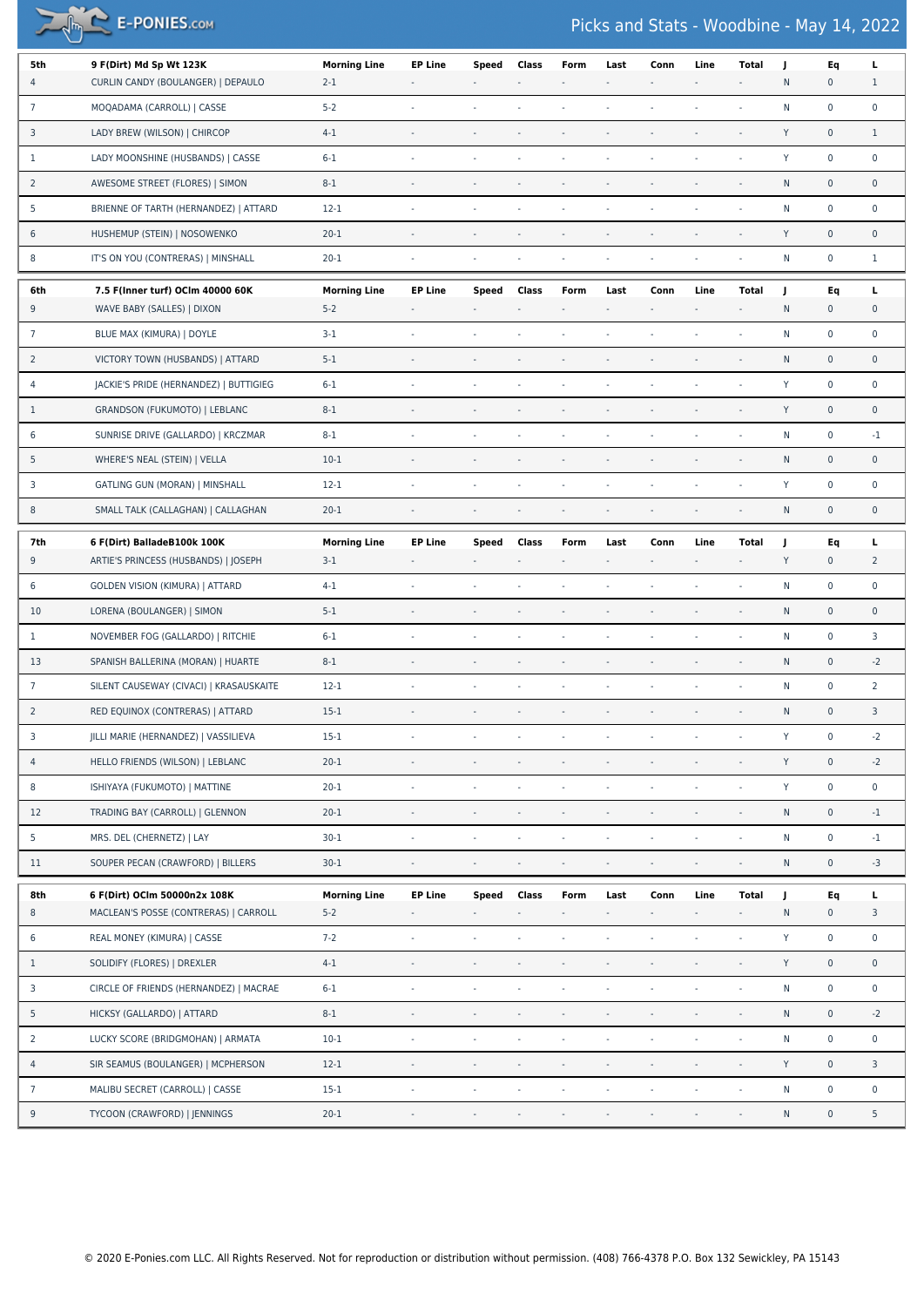$\sqrt{m}$  E-PONIES.com

## Picks and Stats - Woodbine - May 14, 2022

| 5th             | 9 F(Dirt) Md Sp Wt 123K                 | <b>Morning Line</b> | <b>EP Line</b>           | Speed                    | Class                    | Form                     | Last                     | Conn                     | Line                     | <b>Total</b>             | J         | Eq                  | L                   |
|-----------------|-----------------------------------------|---------------------|--------------------------|--------------------------|--------------------------|--------------------------|--------------------------|--------------------------|--------------------------|--------------------------|-----------|---------------------|---------------------|
| 4               | CURLIN CANDY (BOULANGER)   DEPAULO      | $2 - 1$             |                          |                          |                          |                          |                          |                          |                          |                          | N         | $\mathsf{O}\xspace$ | $\mathbf{1}$        |
| $7\overline{ }$ | MOQADAMA (CARROLL)   CASSE              | $5 - 2$             | $\sim$                   | $\sim$                   | $\sim$                   | $\sim$                   |                          |                          | ÷,                       | $\blacksquare$           | ${\sf N}$ | $\mathbf 0$         | $\pmb{0}$           |
| 3               | LADY BREW (WILSON)   CHIRCOP            | $4 - 1$             | $\sim$                   |                          |                          |                          |                          |                          |                          |                          | Y         | $\mathsf{O}\xspace$ | $\mathbf{1}$        |
| $\mathbf{1}$    | LADY MOONSHINE (HUSBANDS)   CASSE       | $6 - 1$             | $\overline{\phantom{a}}$ | $\sim$                   |                          |                          |                          |                          |                          | $\overline{\phantom{a}}$ | Y         | $\mathbf 0$         | $\pmb{0}$           |
| $\overline{2}$  | AWESOME STREET (FLORES)   SIMON         | $8 - 1$             | $\overline{\phantom{a}}$ | $\sim$                   |                          | $\sim$                   |                          |                          |                          | $\overline{\phantom{a}}$ | N         | $\mathsf{O}\xspace$ | $\pmb{0}$           |
| 5               | BRIENNE OF TARTH (HERNANDEZ)   ATTARD   | $12-1$              | ÷,                       |                          |                          |                          |                          |                          |                          |                          | N         | $\mathbf 0$         | $\pmb{0}$           |
| 6               | HUSHEMUP (STEIN)   NOSOWENKO            | $20 - 1$            | $\overline{\phantom{a}}$ | $\overline{\phantom{a}}$ |                          |                          |                          |                          |                          | $\overline{\phantom{a}}$ | Y         | $\mathbf 0$         | $\pmb{0}$           |
| 8               | IT'S ON YOU (CONTRERAS)   MINSHALL      | $20 - 1$            | $\sim$                   | $\sim$                   | $\sim$                   | $\sim$                   | $\sim$                   |                          | $\overline{\phantom{a}}$ | ÷,                       | ${\sf N}$ | $\pmb{0}$           | $\mathbf{1}$        |
| 6th             | 7.5 F(Inner turf) OCIm 40000 60K        | <b>Morning Line</b> | <b>EP Line</b>           | Speed                    | Class                    | Form                     | Last                     | Conn                     | Line                     | <b>Total</b>             | J         | Eq                  | г                   |
| 9               | WAVE BABY (SALLES)   DIXON              | $5 - 2$             | $\overline{\phantom{a}}$ |                          |                          |                          |                          |                          |                          | $\overline{\phantom{a}}$ | N         | $\mathbf 0$         | 0                   |
| $7\overline{ }$ | BLUE MAX (KIMURA)   DOYLE               | $3-1$               | $\sim$                   | ÷,                       | $\sim$                   |                          |                          |                          |                          | ÷,                       | N         | $\mathbf 0$         | 0                   |
| $\overline{2}$  | VICTORY TOWN (HUSBANDS)   ATTARD        | $5-1$               | $\overline{\phantom{a}}$ | ÷,                       |                          |                          |                          |                          |                          | $\overline{\phantom{a}}$ | N         | $\mathsf{O}\xspace$ | $\pmb{0}$           |
| 4               | JACKIE'S PRIDE (HERNANDEZ)   BUTTIGIEG  | $6 - 1$             | ÷.                       | ÷.                       |                          |                          |                          |                          |                          | ÷,                       | Y         | $\mathsf 0$         | $\mathbf 0$         |
| $\mathbf{1}$    | GRANDSON (FUKUMOTO)   LEBLANC           | $8 - 1$             | $\sim$                   | $\sim$                   | $\overline{\phantom{a}}$ |                          |                          |                          |                          | $\overline{\phantom{a}}$ | Y         | $\mathbf 0$         | $\mathsf{O}\xspace$ |
| 6               | SUNRISE DRIVE (GALLARDO)   KRCZMAR      | $8-1$               | $\sim$                   | $\sim$                   | $\overline{\phantom{a}}$ | $\sim$                   |                          |                          |                          | ÷,                       | N         | $\mathbf 0$         | $-1$                |
| 5               | WHERE'S NEAL (STEIN)   VELLA            | $10-1$              | ÷,                       |                          |                          |                          |                          |                          |                          |                          | N         | $\pmb{0}$           | $\mathbf 0$         |
| 3               | GATLING GUN (MORAN)   MINSHALL          | $12 - 1$            | $\sim$                   | ÷,                       |                          | $\sim$                   |                          |                          |                          | ÷,                       | Y         | $\mathsf 0$         | $\pmb{0}$           |
| 8               | SMALL TALK (CALLAGHAN)   CALLAGHAN      | $20 - 1$            | $\sim$                   | $\overline{\phantom{a}}$ | $\overline{\phantom{a}}$ | $\sim$                   | $\overline{\phantom{a}}$ | $\overline{\phantom{a}}$ | $\overline{\phantom{a}}$ | $\blacksquare$           | ${\sf N}$ | $\mathsf{O}\xspace$ | $\pmb{0}$           |
| 7th             | 6 F(Dirt) BalladeB100k 100K             | <b>Morning Line</b> | <b>EP Line</b>           | Speed                    | Class                    | Form                     | Last                     | Conn                     | Line                     | Total                    | J         | Eq                  | г                   |
| 9               | ARTIE'S PRINCESS (HUSBANDS)   JOSEPH    | $3-1$               | $\overline{\phantom{a}}$ |                          |                          |                          |                          |                          |                          | $\overline{\phantom{a}}$ | Y         | $\mathbf 0$         | $\overline{2}$      |
| 6               | <b>GOLDEN VISION (KIMURA)   ATTARD</b>  | $4 - 1$             | $\sim$                   | $\sim$                   |                          |                          |                          |                          |                          |                          | N         | $\mathbf 0$         | $\pmb{0}$           |
| 10              | LORENA (BOULANGER)   SIMON              | $5-1$               | $\overline{\phantom{a}}$ | $\sim$                   | $\overline{\phantom{a}}$ | $\mathcal{L}$            |                          |                          |                          | $\blacksquare$           | N         | $\mathsf{O}\xspace$ | $\pmb{0}$           |
| $\mathbf{1}$    | NOVEMBER FOG (GALLARDO)   RITCHIE       | $6-1$               | ÷,                       | ÷.                       |                          |                          |                          |                          |                          | $\sim$                   | ${\sf N}$ | $\mathbf 0$         | 3                   |
| 13              | SPANISH BALLERINA (MORAN)   HUARTE      | $8 - 1$             | $\overline{\phantom{a}}$ | $\overline{\phantom{a}}$ |                          |                          |                          |                          |                          | $\overline{\phantom{a}}$ | N         | $\mathbf 0$         | $-2$                |
| $\overline{7}$  | SILENT CAUSEWAY (CIVACI)   KRASAUSKAITE | $12 - 1$            | $\sim$                   | $\overline{\phantom{a}}$ | $\sim$                   |                          |                          |                          | ÷.                       | $\sim$                   | N         | $\mathbf 0$         | $\overline{2}$      |
| $\overline{2}$  | RED EQUINOX (CONTRERAS)   ATTARD        | $15-1$              | ÷,                       |                          |                          |                          |                          |                          |                          |                          | N         | $\pmb{0}$           | 3                   |
| 3               | JILLI MARIE (HERNANDEZ)   VASSILIEVA    | $15-1$              | $\sim$                   |                          |                          | $\sim$                   |                          | $\sim$                   | $\overline{\phantom{a}}$ | $\blacksquare$           | Y         | $\mathsf 0$         | $-2$                |
| $\overline{4}$  | HELLO FRIENDS (WILSON)   LEBLANC        | $20 - 1$            | $\overline{\phantom{a}}$ |                          |                          |                          |                          |                          |                          |                          | Y         | $\pmb{0}$           | $-2$                |
| 8               | ISHIYAYA (FUKUMOTO)   MATTINE           | $20 - 1$            | $\mathbb{Z}$             | $\overline{\phantom{a}}$ | $\sim$                   | $\overline{\phantom{a}}$ | $\sim$                   |                          | ÷,                       | $\blacksquare$           | Y         | $\pmb{0}$           | $\mathbf 0$         |
| 12              | TRADING BAY (CARROLL)   GLENNON         | $20 - 1$            | $\overline{\phantom{a}}$ | $\sim$                   |                          |                          |                          |                          |                          |                          | ${\sf N}$ | $\mathsf{O}\xspace$ | $-1$                |
| 5               | MRS. DEL (CHERNETZ)   LAY               | $30 - 1$            | $\bar{\phantom{a}}$      | $\bar{\phantom{a}}$      |                          |                          |                          |                          |                          | $\blacksquare$           | N         | $\mathbf 0$         | $-1$                |
| 11              | SOUPER PECAN (CRAWFORD)   BILLERS       | $30 - 1$            | $\bar{z}$                | $\overline{\phantom{a}}$ | $\overline{\phantom{a}}$ | $\sim$                   |                          |                          |                          | $\overline{\phantom{a}}$ | ${\sf N}$ | $\pmb{0}$           | $-3$                |
| 8th             | 6 F(Dirt) OCIm 50000n2x 108K            | <b>Morning Line</b> | <b>EP Line</b>           | Speed                    | Class                    | Form                     | Last                     | Conn                     | Line                     | <b>Total</b>             | J         | Eq                  | L                   |
| 8               | MACLEAN'S POSSE (CONTRERAS)   CARROLL   | $5 - 2$             | $\overline{\phantom{a}}$ |                          |                          |                          |                          |                          |                          | $\overline{\phantom{a}}$ | ${\sf N}$ | $\mathsf{O}\xspace$ | 3                   |
| 6               | REAL MONEY (KIMURA)   CASSE             | $7 - 2$             | $\bar{z}$                | $\Box$                   | $\sim$                   | $\omega$                 |                          |                          |                          | ÷,                       | Y         | $\mathsf{O}\xspace$ | $\mathbf 0$         |
| $\mathbf{1}$    | SOLIDIFY (FLORES)   DREXLER             | $4 - 1$             | $\overline{\phantom{a}}$ | $\sim$                   |                          | $\bar{\phantom{a}}$      |                          |                          |                          |                          | Y         | $\mathsf{O}\xspace$ | $\mathbf 0$         |
| 3               | CIRCLE OF FRIENDS (HERNANDEZ)   MACRAE  | $6 - 1$             | $\sim$                   | $\sim$                   |                          |                          |                          |                          |                          | $\bar{z}$                | N         | $\mathsf{O}\xspace$ | $\mathbf 0$         |
| 5               | HICKSY (GALLARDO)   ATTARD              | $8-1$               | $\bar{\phantom{a}}$      | $\Box$                   | $\blacksquare$           |                          |                          |                          |                          | $\blacksquare$           | ${\sf N}$ | $\mathsf{O}\xspace$ | $-2$                |
| $\overline{2}$  | LUCKY SCORE (BRIDGMOHAN)   ARMATA       | $10 - 1$            | $\overline{\phantom{a}}$ | $\overline{\phantom{a}}$ | ÷,                       | $\bar{\phantom{a}}$      |                          |                          |                          | $\blacksquare$           | ${\sf N}$ | $\pmb{0}$           | $\pmb{0}$           |
| $\overline{4}$  | SIR SEAMUS (BOULANGER)   MCPHERSON      | $12 - 1$            | $\sim$                   | $\sim$                   |                          |                          |                          |                          |                          | $\overline{\phantom{a}}$ | Y         | $\mathsf{O}\xspace$ | 3                   |
| $\overline{7}$  | MALIBU SECRET (CARROLL)   CASSE         | $15 - 1$            | $\overline{\phantom{a}}$ | $\overline{\phantom{a}}$ |                          |                          |                          |                          |                          | $\overline{\phantom{a}}$ | ${\sf N}$ | $\mathsf{O}\xspace$ | $\pmb{0}$           |
| 9               | TYCOON (CRAWFORD)   JENNINGS            | $20 - 1$            | $\overline{\phantom{a}}$ | $\overline{\phantom{a}}$ | $\overline{\phantom{a}}$ | $\overline{\phantom{a}}$ |                          |                          |                          | $\blacksquare$           | N         | $\pmb{0}$           | 5                   |